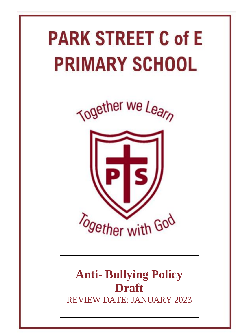# **PARK STREET C of E PRIMARY SCHOOL**

Together we Learn



# **Anti- Bullying Policy Draft** REVIEW DATE: JANUARY 2023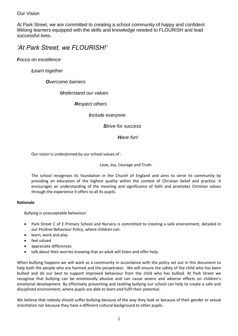Our Vision

At Park Street, we are committed to creating a school community of happy and confident lifelong learners equipped with the skills and knowledge needed to FLOURISH and lead successful lives.

*'At Park Street, we FLOURISH!'*

*Focus on excellence*

*Learn together*

*Overcome barriers*

*Understand our values*

*Respect others*

*Include everyone*

*Strive for success*

*Have fun!*

Our vision is underpinned by our school values of :

Love, Joy, Courage and Truth.

The school recognises its foundation in the Church of England and aims to serve its community by providing an education of the highest quality within the context of Christian belief and practice. It encourages an understanding of the meaning and significance of faith and promotes Christian values through the experience it offers to all its pupils.

# **Rationale**

Bullying is unacceptable behaviour.

- Park Street C of E Primary School and Nursery is committed to creating a safe environment, detailed in our Positive Behaviour Policy, where children can:
- learn, work and play
- feel valued
- appreciate differences
- talk about their worries knowing that an adult will listen and offer help.

When bullying happens we will work as a community in accordance with the policy set out in this document to help both the people who are harmed and the perpetrator. We will ensure the safety of the child who has been bullied and do our best to support improved behaviour from the child who has bullied. At Park Street we recognise that bullying can be emotionally abusive and can cause severe and adverse effects on children's emotional development. By effectively preventing and tackling bullying our school can help to create a safe and disciplined environment, where pupils are able to learn and fulfil their potential.

We believe that nobody should suffer bullying because of the way they look or because of their gender or sexual orientation nor because they have a different cultural background to other pupils.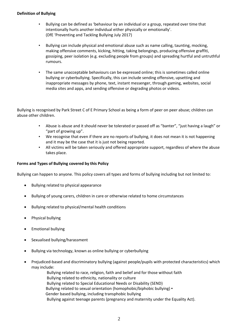#### **Definition of Bullying**

- Bullying can be defined as 'behaviour by an individual or a group, repeated over time that intentionally hurts another individual either physically or emotionally'. (DfE 'Preventing and Tackling Bullying July 2017)
- Bullying can include physical and emotional abuse such as name calling, taunting, mocking, making offensive comments, kicking, hitting, taking belongings, producing offensive graffiti, gossiping, peer isolation (e.g. excluding people from groups) and spreading hurtful and untruthful rumours.
- The same unacceptable behaviours can be expressed online; this is sometimes called online bullying or cyberbullying. Specifically, this can include sending offensive, upsetting and inappropriate messages by phone, text, instant messenger, through gaming, websites, social media sites and apps, and sending offensive or degrading photos or videos.

Bullying is recognised by Park Street C of E Primary School as being a form of peer on peer abuse; children can abuse other children.

- Abuse is abuse and it should never be tolerated or passed off as "banter", "just having a laugh" or "part of growing up".
- We recognise that even if there are no reports of bullying, it does not mean it is not happening and it may be the case that it is just not being reported.
- All victims will be taken seriously and offered appropriate support, regardless of where the abuse takes place.

# **Forms and Types of Bullying covered by this Policy**

Bullying can happen to anyone. This policy covers all types and forms of bullying including but not limited to:

- Bullying related to physical appearance
- Bullying of young carers, children in care or otherwise related to home circumstances
- Bullying related to physical/mental health conditions
- Physical bullying
- Emotional bullying
- Sexualised bullying/harassment
- Bullying via technology, known as online bullying or cyberbullying
- Prejudiced-based and discriminatory bullying (against people/pupils with protected characteristics) which may include:

Bullying related to race, religion, faith and belief and for those without faith Bullying related to ethnicity, nationality or culture Bullying related to Special Educational Needs or Disability (SEND) Bullying related to sexual orientation (homophobic/biphobic bullying) • Gender based bullying, including transphobic bullying Bullying against teenage parents (pregnancy and maternity under the Equality Act).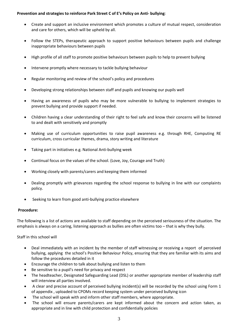#### **Prevention and strategies to reinforce Park Street C of E's Policy on Anti- bullying**:

- Create and support an inclusive environment which promotes a culture of mutual respect, consideration and care for others, which will be upheld by all.
- Follow the STEPs, therapeutic approach to support positive behaviours between pupils and challenge inappropriate behaviours between pupils
- High profile of all staff to promote positive behaviours between pupils to help to prevent bullying
- Intervene promptly where necessary to tackle bullying behaviour
- Regular monitoring and review of the school's policy and procedures
- Developing strong relationships between staff and pupils and knowing our pupils well
- Having an awareness of pupils who may be more vulnerable to bullying to implement strategies to prevent bullying and provide support if needed.
- Children having a clear understanding of their right to feel safe and know their concerns will be listened to and dealt with sensitively and promptly
- Making use of curriculum opportunities to raise pupil awareness e.g. through RHE, Computing RE curriculum, cross curricular themes, drama, story writing and literature
- Taking part in initiatives e.g. National Anti-bullying week
- Continual focus on the values of the school. (Love, Joy, Courage and Truth)
- Working closely with parents/carers and keeping them informed
- Dealing promptly with grievances regarding the school response to bullying in line with our complaints policy.
- Seeking to learn from good anti-bullying practice elsewhere

#### **Procedure:**

The following is a list of actions are available to staff depending on the perceived seriousness of the situation. The emphasis is always on a caring, listening approach as bullies are often victims too – that is why they bully.

Staff in this school will

- Deal immediately with an incident by the member of staff witnessing or receiving a report of perceived bullying, applying the school's Positive Behaviour Policy, ensuring that they are familiar with its aims and follow the procedures detailed in it
- Encourage the children to talk about bullying and listen to them
- Be sensitive to a pupil's need for privacy and respect
- The headteacher, Designated Safeguarding Lead (DSL) or another appropriate member of leadership staff will interview all parties involved.
- A clear and precise account of perceived bullying incident(s) will be recorded by the school using Form 1 of appendix , uploaded to CPOMs record keeping system under perceived bullying icon
- The school will speak with and inform other staff members, where appropriate.
- The school will ensure parents/carers are kept informed about the concern and action taken, as appropriate and in line with child protection and confidentially policies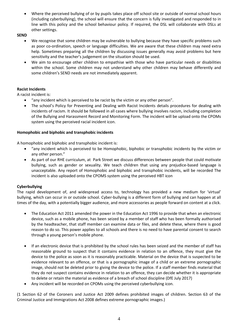Where the perceived bullying of or by pupils takes place off school site or outside of normal school hours (including cyberbullying), the school will ensure that the concern is fully investigated and responded to in line with this policy and the school behaviour policy. If required, the DSL will collaborate with DSLs at other settings.

**SEND**

- We recognise that some children may be vulnerable to bullying because they have specific problems such as poor co-ordination, speech or language difficulties. We are aware that these children may need extra help. Sometimes preparing all the children by discussing issues generally may avoid problems but here sensitivity and the teacher's judgement on the situation should be used.
- We aim to encourage other children to empathise with those who have particular needs or disabilities within the school. Some children may not understand why other children may behave differently and some children's SEND needs are not immediately apparent.

# **Racist Incidents**

A racist incident is:

- "any incident which is perceived to be racist by the victim or any other person".
- The school's Policy for Preventing and Dealing with Racist Incidents details procedures for dealing with incidents of racism. It should be followed in all cases where bullying involves racism, including completion of the Bullying and Harassment Record and Monitoring Form. The incident will be upload onto the CPOMs system using the perceived racial incident icon.

# **Homophobic and biphobic and transphobic incidents**

A homophobic and biphobic and transphobic incident is:

- "any incident which is perceived to be Homophobic, biphobic or transphobic incidents by the victim or any other person."
- As part of our RHE curriculum, at Park Street we discuss differences between people that could motivate bullying, such as gender or sexuality. We teach children that using any prejudice-based language is unacceptable. Any report of Homophobic and biphobic and transphobic incidents, will be recorded The incident is also uploaded onto the CPOMS system using the perceived HBT icon

# **Cyberbullying**

The rapid development of, and widespread access to, technology has provided a new medium for 'virtual' bullying, which can occur in or outside school. Cyber-bullying is a different form of bullying and can happen at all times of the day, with a potentially bigger audience, and more accessories as people forward on content at a click.

- The Education Act 2011 amended the power in the Education Act 1996 to provide that when an electronic device, such as a mobile phone, has been seized by a member of staff who has been formally authorised by the headteacher, that staff member can examine data or files, and delete these, where there is good reason to do so. This power applies to all schools and there is no need to have parental consent to search through a young person's mobile phone.
- If an electronic device that is prohibited by the school rules has been seized and the member of staff has reasonable ground to suspect that it contains evidence in relation to an offence, they must give the device to the police as soon as it is reasonably practicable. Material on the device that is suspected to be evidence relevant to an offence, or that is a pornographic image of a child or an extreme pornographic image, should not be deleted prior to giving the device to the police. If a staff member finds material that they do not suspect contains evidence in relation to an offence, they can decide whether it is appropriate to delete or retain the material as evidence of a breach of school discipline (DfE July 2017)
- Any incident will be recorded on CPOMs using the perceived cyberbullying icon.

(1 Section 62 of the Coroners and Justice Act 2009 defines prohibited images of children. Section 63 of the Criminal Justice and Immigrations Act 2008 defines extreme pornographic images.)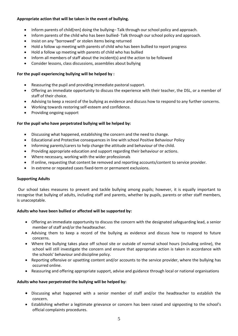# **Appropriate action that will be taken in the event of bullying.**

- Inform parents of child[ren] doing the bullying– Talk through our school policy and approach.
- Inform parents of the child who has been bullied- Talk through our school policy and approach.
- Insist on any "borrowed" or stolen items being returned
- Hold a follow up meeting with parents of child who has been bullied to report progress
- Hold a follow up meeting with parents of child who has bullied
- Inform all members of staff about the incident(s) and the action to be followed
- Consider lessons, class discussions, assemblies about bullying

#### **For the pupil experiencing bullying will be helped by :**

- Reassuring the pupil and providing immediate pastoral support.
- Offering an immediate opportunity to discuss the experience with their teacher, the DSL, or a member of staff of their choice.
- Advising to keep a record of the bullying as evidence and discuss how to respond to any further concerns.
- Working towards restoring self-esteem and confidence.
- Providing ongoing support

# **For the pupil who have perpetrated bullying will be helped by:**

- Discussing what happened, establishing the concern and the need to change.
- Educational and Protective consequences in line with school Positive Behaviour Policy
- Informing parents/carers to help change the attitude and behaviour of the child.
- Providing appropriate education and support regarding their behaviour or actions.
- Where necessary, working with the wider professionals
- If online, requesting that content be removed and reporting accounts/content to service provider.
- In extreme or repeated cases fixed-term or permanent exclusions.

# **Supporting Adults**

Our school takes measures to prevent and tackle bullying among pupils; however, it is equally important to recognise that bullying of adults, including staff and parents, whether by pupils, parents or other staff members, is unacceptable.

# **Adults who have been bullied or affected will be supported by:**

- Offering an immediate opportunity to discuss the concern with the designated safeguarding lead, a senior member of staff and/or the headteacher.
- Advising them to keep a record of the bullying as evidence and discuss how to respond to future concerns.
- Where the bullying takes place off school site or outside of normal school hours (including online), the school will still investigate the concern and ensure that appropriate action is taken in accordance with the schools' behaviour and discipline policy.
- Reporting offensive or upsetting content and/or accounts to the service provider, where the bullying has occurred online.
- Reassuring and offering appropriate support, advise and guidance through local or national organisations

# **Adults who have perpetrated the bullying will be helped by:**

- Discussing what happened with a senior member of staff and/or the headteacher to establish the concern.
- Establishing whether a legitimate grievance or concern has been raised and signposting to the school's official complaints procedures.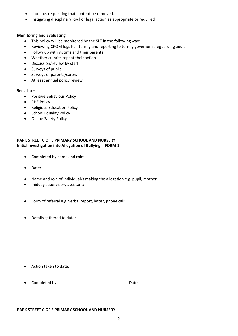- If online, requesting that content be removed.
- Instigating disciplinary, civil or legal action as appropriate or required

#### **Monitoring and Evaluating**

- This policy will be monitored by the SLT in the following way:
- Reviewing CPOM logs half termly and reporting to termly governor safeguarding audit
- Follow up with victims and their parents
- Whether culprits repeat their action
- Discussion/review by staff
- Surveys of pupils.
- Surveys of parents/carers
- At least annual policy review

#### **See also –**

- Positive Behaviour Policy
- RHE Policy
- Religious Education Policy
- School Equality Policy
- Online Safety Policy

# **PARK STREET C OF E PRIMARY SCHOOL AND NURSERY Initial Investigation into Allegation of Bullying - FORM 1**

| $\bullet$ | Completed by name and role:                                                                              |       |
|-----------|----------------------------------------------------------------------------------------------------------|-------|
| $\bullet$ | Date:                                                                                                    |       |
| $\bullet$ | Name and role of individual/s making the allegation e.g. pupil, mother,<br>midday supervisory assistant: |       |
| $\bullet$ | Form of referral e.g. verbal report, letter, phone call:                                                 |       |
| $\bullet$ | Details gathered to date:                                                                                |       |
| $\bullet$ | Action taken to date:                                                                                    |       |
| $\bullet$ | Completed by:                                                                                            | Date: |

#### **PARK STREET C OF E PRIMARY SCHOOL AND NURSERY**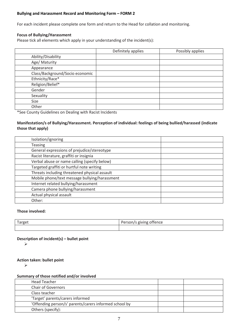#### **Bullying and Harassment Record and Monitoring Form – FORM 2**

For each incident please complete one form and return to the Head for collation and monitoring.

#### **Focus of Bullying/Harassment**

Please tick all elements which apply in your understanding of the incident(s):

|                                 | Definitely applies | Possibly applies |
|---------------------------------|--------------------|------------------|
| Ability/Disability              |                    |                  |
| Age/ Maturity                   |                    |                  |
| Appearance                      |                    |                  |
| Class/Background/Socio economic |                    |                  |
| Ethnicity/Race*                 |                    |                  |
| Religion/Belief*                |                    |                  |
| Gender                          |                    |                  |
| Sexuality                       |                    |                  |
| Size                            |                    |                  |
| Other                           |                    |                  |

\*See County Guidelines on Dealing with Racist Incidents

# **Manifestation/s of Bullying/Harassment. Perception of individual: feelings of being bullied/harassed (indicate those that apply)**

| Isolation/ignoring                            |  |
|-----------------------------------------------|--|
| <b>Teasing</b>                                |  |
| General expressions of prejudice/stereotype   |  |
| Racist literature, graffiti or insignia       |  |
| Verbal abuse or name calling (specify below)  |  |
| Targeted graffiti or hurtful note writing     |  |
| Threats including threatened physical assault |  |
| Mobile phone/text message bullying/harassment |  |
| Internet related bullying/harassment          |  |
| Camera phone bullying/harassment              |  |
| Actual physical assault                       |  |
| Other:                                        |  |

#### **Those involved:**

| Farget | /s giving offence<br>Darcon<br>Person/s |
|--------|-----------------------------------------|
|        |                                         |

#### **Description of incident(s) – bullet point**

 $\blacktriangleright$ 

**Action taken: bullet point**

 $\blacktriangleright$ 

#### **Summary of those notified and/or involved**

| Head Teacher                                           |  |
|--------------------------------------------------------|--|
| <b>Chair of Governors</b>                              |  |
| Class teacher                                          |  |
| 'Target' parents/carers informed                       |  |
| 'Offending person/s' parents/carers informed school by |  |
| Others (specify):                                      |  |